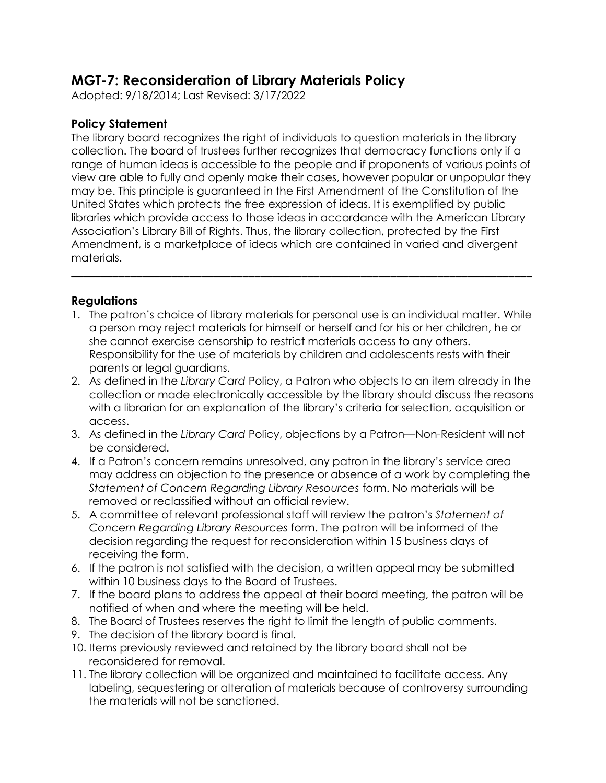## **MGT-7: Reconsideration of Library Materials Policy**

Adopted: 9/18/2014; Last Revised: 3/17/2022

## **Policy Statement**

The library board recognizes the right of individuals to question materials in the library collection. The board of trustees further recognizes that democracy functions only if a range of human ideas is accessible to the people and if proponents of various points of view are able to fully and openly make their cases, however popular or unpopular they may be. This principle is guaranteed in the First Amendment of the Constitution of the United States which protects the free expression of ideas. It is exemplified by public libraries which provide access to those ideas in accordance with the American Library Association's Library Bill of Rights. Thus, the library collection, protected by the First Amendment, is a marketplace of ideas which are contained in varied and divergent materials.

## **Regulations**

1. The patron's choice of library materials for personal use is an individual matter. While a person may reject materials for himself or herself and for his or her children, he or she cannot exercise censorship to restrict materials access to any others. Responsibility for the use of materials by children and adolescents rests with their parents or legal guardians.

**\_\_\_\_\_\_\_\_\_\_\_\_\_\_\_\_\_\_\_\_\_\_\_\_\_\_\_\_\_\_\_\_\_\_\_\_\_\_\_\_\_\_\_\_\_\_\_\_\_\_\_\_\_\_\_\_\_\_\_\_\_\_\_\_\_\_\_\_\_\_\_\_\_\_\_\_\_\_**

- 2. As defined in the *Library Card* Policy, a Patron who objects to an item already in the collection or made electronically accessible by the library should discuss the reasons with a librarian for an explanation of the library's criteria for selection, acquisition or access.
- 3. As defined in the *Library Card* Policy, objections by a Patron—Non-Resident will not be considered.
- 4. If a Patron's concern remains unresolved, any patron in the library's service area may address an objection to the presence or absence of a work by completing the *Statement of Concern Regarding Library Resources* form. No materials will be removed or reclassified without an official review.
- 5. A committee of relevant professional staff will review the patron's *Statement of Concern Regarding Library Resources* form. The patron will be informed of the decision regarding the request for reconsideration within 15 business days of receiving the form.
- 6. If the patron is not satisfied with the decision, a written appeal may be submitted within 10 business days to the Board of Trustees.
- 7. If the board plans to address the appeal at their board meeting, the patron will be notified of when and where the meeting will be held.
- 8. The Board of Trustees reserves the right to limit the length of public comments.
- 9. The decision of the library board is final.
- 10. Items previously reviewed and retained by the library board shall not be reconsidered for removal.
- 11. The library collection will be organized and maintained to facilitate access. Any labeling, sequestering or alteration of materials because of controversy surrounding the materials will not be sanctioned.